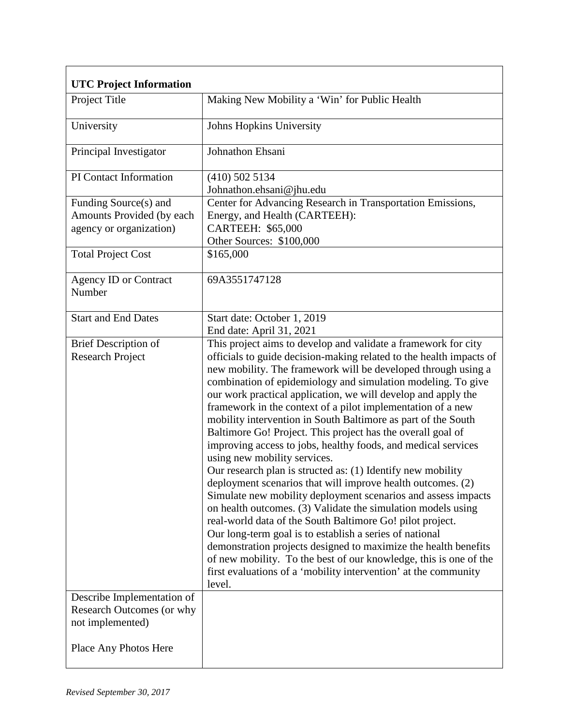| <b>UTC Project Information</b>                                                |                                                                                                                                                                                                                                                                                                                                                                                                                                                                                                                                                                                                                                                                                                                                                                                                                                                                                                                                                                                                                                                                                                                                                                                                                                                     |
|-------------------------------------------------------------------------------|-----------------------------------------------------------------------------------------------------------------------------------------------------------------------------------------------------------------------------------------------------------------------------------------------------------------------------------------------------------------------------------------------------------------------------------------------------------------------------------------------------------------------------------------------------------------------------------------------------------------------------------------------------------------------------------------------------------------------------------------------------------------------------------------------------------------------------------------------------------------------------------------------------------------------------------------------------------------------------------------------------------------------------------------------------------------------------------------------------------------------------------------------------------------------------------------------------------------------------------------------------|
| Project Title                                                                 | Making New Mobility a 'Win' for Public Health                                                                                                                                                                                                                                                                                                                                                                                                                                                                                                                                                                                                                                                                                                                                                                                                                                                                                                                                                                                                                                                                                                                                                                                                       |
| University                                                                    | Johns Hopkins University                                                                                                                                                                                                                                                                                                                                                                                                                                                                                                                                                                                                                                                                                                                                                                                                                                                                                                                                                                                                                                                                                                                                                                                                                            |
| Principal Investigator                                                        | Johnathon Ehsani                                                                                                                                                                                                                                                                                                                                                                                                                                                                                                                                                                                                                                                                                                                                                                                                                                                                                                                                                                                                                                                                                                                                                                                                                                    |
| PI Contact Information                                                        | $(410)$ 502 5134<br>Johnathon.ehsani@jhu.edu                                                                                                                                                                                                                                                                                                                                                                                                                                                                                                                                                                                                                                                                                                                                                                                                                                                                                                                                                                                                                                                                                                                                                                                                        |
| Funding Source(s) and<br>Amounts Provided (by each<br>agency or organization) | Center for Advancing Research in Transportation Emissions,<br>Energy, and Health (CARTEEH):<br><b>CARTEEH: \$65,000</b><br>Other Sources: \$100,000                                                                                                                                                                                                                                                                                                                                                                                                                                                                                                                                                                                                                                                                                                                                                                                                                                                                                                                                                                                                                                                                                                 |
| <b>Total Project Cost</b>                                                     | \$165,000                                                                                                                                                                                                                                                                                                                                                                                                                                                                                                                                                                                                                                                                                                                                                                                                                                                                                                                                                                                                                                                                                                                                                                                                                                           |
| <b>Agency ID or Contract</b><br>Number                                        | 69A3551747128                                                                                                                                                                                                                                                                                                                                                                                                                                                                                                                                                                                                                                                                                                                                                                                                                                                                                                                                                                                                                                                                                                                                                                                                                                       |
| <b>Start and End Dates</b>                                                    | Start date: October 1, 2019<br>End date: April 31, 2021                                                                                                                                                                                                                                                                                                                                                                                                                                                                                                                                                                                                                                                                                                                                                                                                                                                                                                                                                                                                                                                                                                                                                                                             |
| <b>Brief Description of</b><br><b>Research Project</b>                        | This project aims to develop and validate a framework for city<br>officials to guide decision-making related to the health impacts of<br>new mobility. The framework will be developed through using a<br>combination of epidemiology and simulation modeling. To give<br>our work practical application, we will develop and apply the<br>framework in the context of a pilot implementation of a new<br>mobility intervention in South Baltimore as part of the South<br>Baltimore Go! Project. This project has the overall goal of<br>improving access to jobs, healthy foods, and medical services<br>using new mobility services.<br>Our research plan is structed as: (1) Identify new mobility<br>deployment scenarios that will improve health outcomes. (2)<br>Simulate new mobility deployment scenarios and assess impacts<br>on health outcomes. (3) Validate the simulation models using<br>real-world data of the South Baltimore Go! pilot project.<br>Our long-term goal is to establish a series of national<br>demonstration projects designed to maximize the health benefits<br>of new mobility. To the best of our knowledge, this is one of the<br>first evaluations of a 'mobility intervention' at the community<br>level. |
| Describe Implementation of<br>Research Outcomes (or why<br>not implemented)   |                                                                                                                                                                                                                                                                                                                                                                                                                                                                                                                                                                                                                                                                                                                                                                                                                                                                                                                                                                                                                                                                                                                                                                                                                                                     |
| Place Any Photos Here                                                         |                                                                                                                                                                                                                                                                                                                                                                                                                                                                                                                                                                                                                                                                                                                                                                                                                                                                                                                                                                                                                                                                                                                                                                                                                                                     |